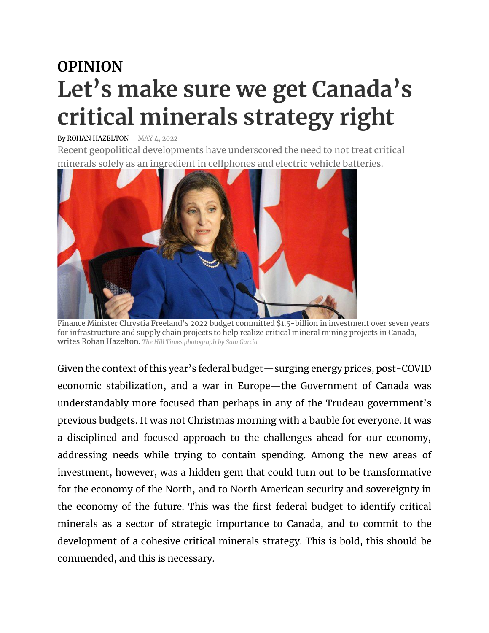## **OPINION Let's make sure we get Canada's critical minerals strategy right**

## By ROHAN [HAZELTON](https://can01.safelinks.protection.outlook.com/?url=https%3A%2F%2Fwww.hilltimes.com%2Fauthor%2Frohan-hazelton&data=05%7C01%7Ckatherine.pryde%40norzinc.com%7C0799eb0405a9492c1c2808da2e0d611a%7C57f302748673412583e6a943434b9314%7C0%7C0%7C637872932531996799%7CUnknown%7CTWFpbGZsb3d8eyJWIjoiMC4wLjAwMDAiLCJQIjoiV2luMzIiLCJBTiI6Ik1haWwiLCJXVCI6Mn0%3D%7C3000%7C%7C%7C&sdata=V78%2Bv3hgREY9%2ByipucMO%2FOAMrq1qmAaQI4brBarZdG4%3D&reserved=0) MAY 4, 2022

Recent geopolitical developments have underscored the need to not treat critical minerals solely as an ingredient in cellphones and electric vehicle batteries.



Finance Minister Chrystia Freeland's 2022 budget committed \$1.5-billion in investment over seven years for infrastructure and supply chain projects to help realize critical mineral mining projects in Canada, writes Rohan Hazelton. *The Hill Times photograph by Sam Garcia*

Given the context of this year's federal budget—surging energy prices, post-COVID economic stabilization, and a war in Europe—the Government of Canada was understandably more focused than perhaps in any of the Trudeau government's previous budgets. It was not Christmas morning with a bauble for everyone. It was a disciplined and focused approach to the challenges ahead for our economy, addressing needs while trying to contain spending. Among the new areas of investment, however, was a hidden gem that could turn out to be transformative for the economy of the North, and to North American security and sovereignty in the economy of the future. This was the first federal budget to identify critical minerals as a sector of strategic importance to Canada, and to commit to the development of a cohesive critical minerals strategy. This is bold, this should be commended, and this is necessary.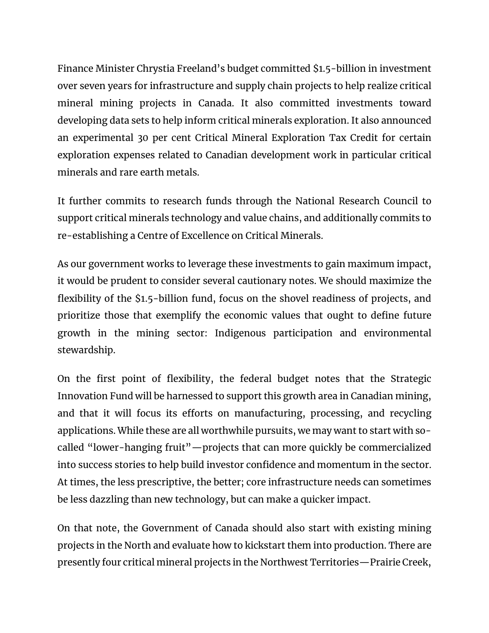Finance Minister Chrystia Freeland's budget committed \$1.5-billion in investment over seven years for infrastructure and supply chain projects to help realize critical mineral mining projects in Canada. It also committed investments toward developing data sets to help inform critical minerals exploration. It also announced an experimental 30 per cent Critical Mineral Exploration Tax Credit for certain exploration expenses related to Canadian development work in particular critical minerals and rare earth metals.

It further commits to research funds through the National Research Council to support critical minerals technology and value chains, and additionally commits to re-establishing a Centre of Excellence on Critical Minerals.

As our government works to leverage these investments to gain maximum impact, it would be prudent to consider several cautionary notes. We should maximize the flexibility of the \$1.5-billion fund, focus on the shovel readiness of projects, and prioritize those that exemplify the economic values that ought to define future growth in the mining sector: Indigenous participation and environmental stewardship.

On the first point of flexibility, the federal budget notes that the Strategic Innovation Fund will be harnessed to support this growth area in Canadian mining, and that it will focus its efforts on manufacturing, processing, and recycling applications. While these are all worthwhile pursuits, we may want to start with socalled "lower-hanging fruit"—projects that can more quickly be commercialized into success stories to help build investor confidence and momentum in the sector. At times, the less prescriptive, the better; core infrastructure needs can sometimes be less dazzling than new technology, but can make a quicker impact.

On that note, the Government of Canada should also start with existing mining projects in the North and evaluate how to kickstart them into production. There are presently four critical mineral projects in the Northwest Territories—Prairie Creek,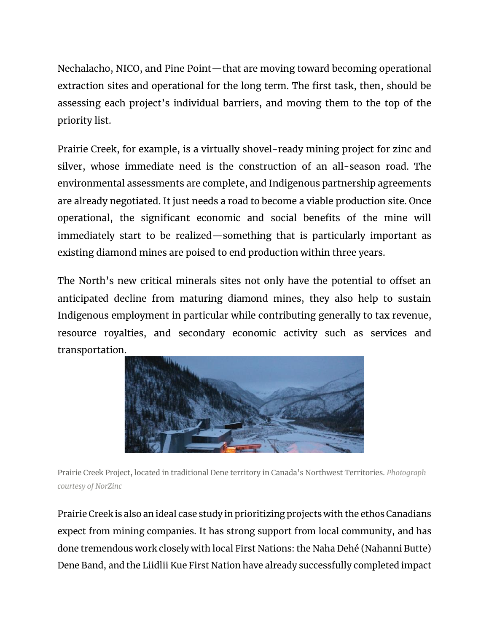Nechalacho, NICO, and Pine Point—that are moving toward becoming operational extraction sites and operational for the long term. The first task, then, should be assessing each project's individual barriers, and moving them to the top of the priority list.

Prairie Creek, for example, is a virtually shovel-ready mining project for zinc and silver, whose immediate need is the construction of an all-season road. The environmental assessments are complete, and Indigenous partnership agreements are already negotiated. It just needs a road to become a viable production site. Once operational, the significant economic and social benefits of the mine will immediately start to be realized—something that is particularly important as existing diamond mines are poised to end production within three years.

The North's new critical minerals sites not only have the potential to offset an anticipated decline from maturing diamond mines, they also help to sustain Indigenous employment in particular while contributing generally to tax revenue, resource royalties, and secondary economic activity such as services and transportation.



Prairie Creek Project, located in traditional Dene territory in Canada's Northwest Territories. *Photograph courtesy of NorZinc*

Prairie Creek is also an ideal case study in prioritizing projects with the ethos Canadians expect from mining companies. It has strong support from local community, and has done tremendous work closely with local First Nations: the Naha Dehé (Nahanni Butte) Dene Band, and the Liidlii Kue First Nation have already successfully completed impact